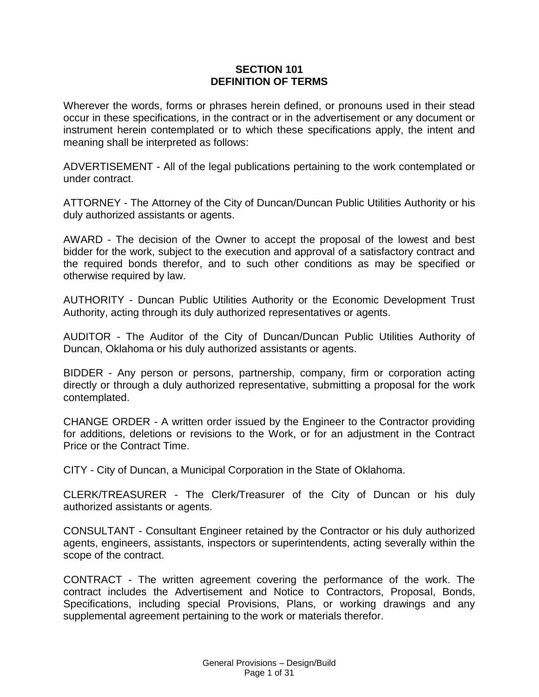### **SECTION 101 DEFINITION OF TERMS**

Wherever the words, forms or phrases herein defined, or pronouns used in their stead occur in these specifications, in the contract or in the advertisement or any document or instrument herein contemplated or to which these specifications apply, the intent and meaning shall be interpreted as follows:

ADVERTISEMENT - All of the legal publications pertaining to the work contemplated or under contract.

ATTORNEY - The Attorney of the City of Duncan/Duncan Public Utilities Authority or his duly authorized assistants or agents.

AWARD - The decision of the Owner to accept the proposal of the lowest and best bidder for the work, subject to the execution and approval of a satisfactory contract and the required bonds therefor, and to such other conditions as may be specified or otherwise required by law.

AUTHORITY - Duncan Public Utilities Authority or the Economic Development Trust Authority, acting through its duly authorized representatives or agents.

AUDITOR - The Auditor of the City of Duncan/Duncan Public Utilities Authority of Duncan, Oklahoma or his duly authorized assistants or agents.

BIDDER - Any person or persons, partnership, company, firm or corporation acting directly or through a duly authorized representative, submitting a proposal for the work contemplated.

CHANGE ORDER - A written order issued by the Engineer to the Contractor providing for additions, deletions or revisions to the Work, or for an adjustment in the Contract Price or the Contract Time.

CITY - City of Duncan, a Municipal Corporation in the State of Oklahoma.

CLERK/TREASURER - The Clerk/Treasurer of the City of Duncan or his duly authorized assistants or agents.

CONSULTANT - Consultant Engineer retained by the Contractor or his duly authorized agents, engineers, assistants, inspectors or superintendents, acting severally within the scope of the contract.

CONTRACT - The written agreement covering the performance of the work. The contract includes the Advertisement and Notice to Contractors, Proposal, Bonds, Specifications, including special Provisions, Plans, or working drawings and any supplemental agreement pertaining to the work or materials therefor.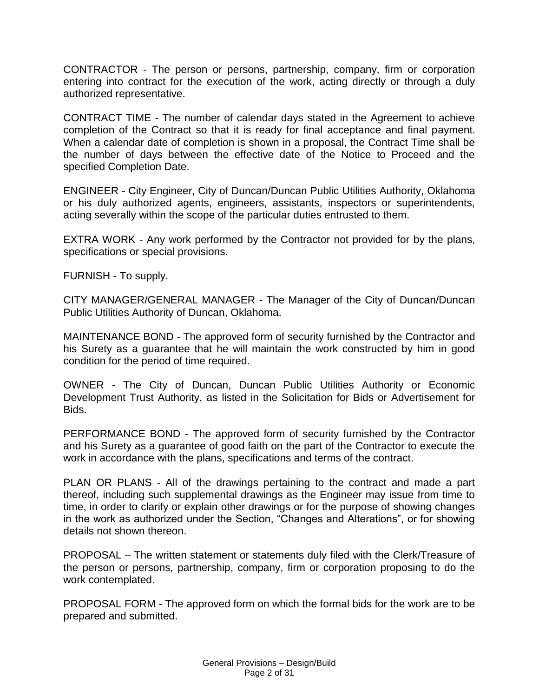CONTRACTOR - The person or persons, partnership, company, firm or corporation entering into contract for the execution of the work, acting directly or through a duly authorized representative.

CONTRACT TIME - The number of calendar days stated in the Agreement to achieve completion of the Contract so that it is ready for final acceptance and final payment. When a calendar date of completion is shown in a proposal, the Contract Time shall be the number of days between the effective date of the Notice to Proceed and the specified Completion Date.

ENGINEER - City Engineer, City of Duncan/Duncan Public Utilities Authority, Oklahoma or his duly authorized agents, engineers, assistants, inspectors or superintendents, acting severally within the scope of the particular duties entrusted to them.

EXTRA WORK - Any work performed by the Contractor not provided for by the plans, specifications or special provisions.

FURNISH - To supply.

CITY MANAGER/GENERAL MANAGER - The Manager of the City of Duncan/Duncan Public Utilities Authority of Duncan, Oklahoma.

MAINTENANCE BOND - The approved form of security furnished by the Contractor and his Surety as a guarantee that he will maintain the work constructed by him in good condition for the period of time required.

OWNER - The City of Duncan, Duncan Public Utilities Authority or Economic Development Trust Authority, as listed in the Solicitation for Bids or Advertisement for Bids.

PERFORMANCE BOND - The approved form of security furnished by the Contractor and his Surety as a guarantee of good faith on the part of the Contractor to execute the work in accordance with the plans, specifications and terms of the contract.

PLAN OR PLANS - All of the drawings pertaining to the contract and made a part thereof, including such supplemental drawings as the Engineer may issue from time to time, in order to clarify or explain other drawings or for the purpose of showing changes in the work as authorized under the Section, "Changes and Alterations", or for showing details not shown thereon.

PROPOSAL – The written statement or statements duly filed with the Clerk/Treasure of the person or persons, partnership, company, firm or corporation proposing to do the work contemplated.

PROPOSAL FORM - The approved form on which the formal bids for the work are to be prepared and submitted.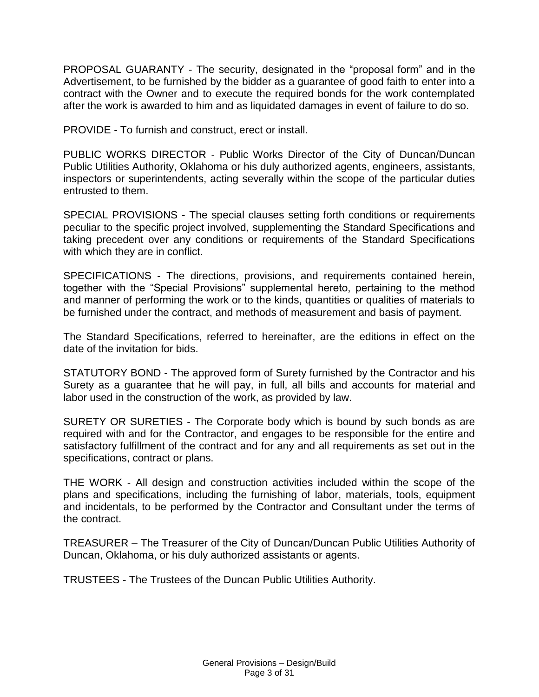PROPOSAL GUARANTY - The security, designated in the "proposal form" and in the Advertisement, to be furnished by the bidder as a guarantee of good faith to enter into a contract with the Owner and to execute the required bonds for the work contemplated after the work is awarded to him and as liquidated damages in event of failure to do so.

PROVIDE - To furnish and construct, erect or install.

PUBLIC WORKS DIRECTOR - Public Works Director of the City of Duncan/Duncan Public Utilities Authority, Oklahoma or his duly authorized agents, engineers, assistants, inspectors or superintendents, acting severally within the scope of the particular duties entrusted to them.

SPECIAL PROVISIONS - The special clauses setting forth conditions or requirements peculiar to the specific project involved, supplementing the Standard Specifications and taking precedent over any conditions or requirements of the Standard Specifications with which they are in conflict.

SPECIFICATIONS - The directions, provisions, and requirements contained herein, together with the "Special Provisions" supplemental hereto, pertaining to the method and manner of performing the work or to the kinds, quantities or qualities of materials to be furnished under the contract, and methods of measurement and basis of payment.

The Standard Specifications, referred to hereinafter, are the editions in effect on the date of the invitation for bids.

STATUTORY BOND - The approved form of Surety furnished by the Contractor and his Surety as a guarantee that he will pay, in full, all bills and accounts for material and labor used in the construction of the work, as provided by law.

SURETY OR SURETIES - The Corporate body which is bound by such bonds as are required with and for the Contractor, and engages to be responsible for the entire and satisfactory fulfillment of the contract and for any and all requirements as set out in the specifications, contract or plans.

THE WORK - All design and construction activities included within the scope of the plans and specifications, including the furnishing of labor, materials, tools, equipment and incidentals, to be performed by the Contractor and Consultant under the terms of the contract.

TREASURER – The Treasurer of the City of Duncan/Duncan Public Utilities Authority of Duncan, Oklahoma, or his duly authorized assistants or agents.

TRUSTEES - The Trustees of the Duncan Public Utilities Authority.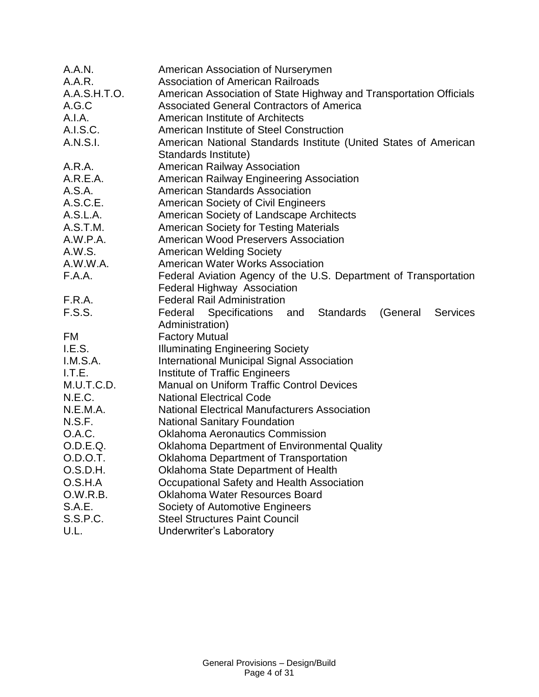| A.A.N.        | American Association of Nurserymen                                               |
|---------------|----------------------------------------------------------------------------------|
| A.A.R.        | <b>Association of American Railroads</b>                                         |
| A.A.S.H.T.O.  | American Association of State Highway and Transportation Officials               |
| A.G.C         | <b>Associated General Contractors of America</b>                                 |
| A.I.A.        | American Institute of Architects                                                 |
| A.I.S.C.      | American Institute of Steel Construction                                         |
| A.N.S.I.      | American National Standards Institute (United States of American                 |
|               | Standards Institute)                                                             |
| A.R.A.        | <b>American Railway Association</b>                                              |
| A.R.E.A.      | American Railway Engineering Association                                         |
| A.S.A.        | <b>American Standards Association</b>                                            |
| A.S.C.E.      | <b>American Society of Civil Engineers</b>                                       |
| A.S.L.A.      | American Society of Landscape Architects                                         |
| A.S.T.M.      | <b>American Society for Testing Materials</b>                                    |
| A.W.P.A.      | <b>American Wood Preservers Association</b>                                      |
| A.W.S.        | <b>American Welding Society</b>                                                  |
| A.W.W.A.      | <b>American Water Works Association</b>                                          |
| F.A.A.        | Federal Aviation Agency of the U.S. Department of Transportation                 |
|               | <b>Federal Highway Association</b>                                               |
| F.R.A.        | <b>Federal Rail Administration</b>                                               |
| <b>F.S.S.</b> | Specifications and<br><b>Standards</b><br>(General<br><b>Services</b><br>Federal |
|               | Administration)                                                                  |
| FM            | <b>Factory Mutual</b>                                                            |
| I.E.S.        | <b>Illuminating Engineering Society</b>                                          |
| I.M.S.A.      | <b>International Municipal Signal Association</b>                                |
| I.T.E.        | Institute of Traffic Engineers                                                   |
| M.U.T.C.D.    | <b>Manual on Uniform Traffic Control Devices</b>                                 |
| N.E.C.        | <b>National Electrical Code</b>                                                  |
| N.E.M.A.      | <b>National Electrical Manufacturers Association</b>                             |
| N.S.F.        | <b>National Sanitary Foundation</b>                                              |
| O.A.C.        | <b>Oklahoma Aeronautics Commission</b>                                           |
| O.D.E.Q.      | <b>Oklahoma Department of Environmental Quality</b>                              |
| O.D.O.T.      | <b>Oklahoma Department of Transportation</b>                                     |
| O.S.D.H.      | Oklahoma State Department of Health                                              |
| O.S.H.A       | Occupational Safety and Health Association                                       |
| O.W.R.B.      | <b>Oklahoma Water Resources Board</b>                                            |
| S.A.E.        | Society of Automotive Engineers                                                  |
| S.S.P.C.      | <b>Steel Structures Paint Council</b>                                            |
| U.L.          | <b>Underwriter's Laboratory</b>                                                  |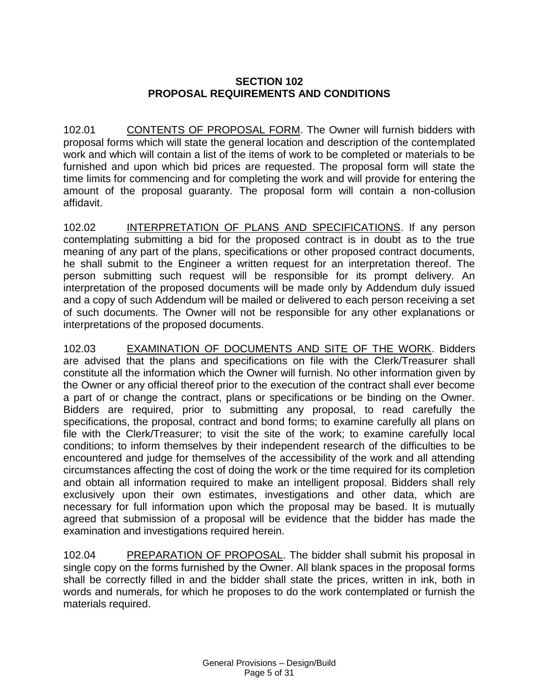## **SECTION 102 PROPOSAL REQUIREMENTS AND CONDITIONS**

102.01 CONTENTS OF PROPOSAL FORM. The Owner will furnish bidders with proposal forms which will state the general location and description of the contemplated work and which will contain a list of the items of work to be completed or materials to be furnished and upon which bid prices are requested. The proposal form will state the time limits for commencing and for completing the work and will provide for entering the amount of the proposal guaranty. The proposal form will contain a non-collusion affidavit.

102.02 INTERPRETATION OF PLANS AND SPECIFICATIONS. If any person contemplating submitting a bid for the proposed contract is in doubt as to the true meaning of any part of the plans, specifications or other proposed contract documents, he shall submit to the Engineer a written request for an interpretation thereof. The person submitting such request will be responsible for its prompt delivery. An interpretation of the proposed documents will be made only by Addendum duly issued and a copy of such Addendum will be mailed or delivered to each person receiving a set of such documents. The Owner will not be responsible for any other explanations or interpretations of the proposed documents.

102.03 EXAMINATION OF DOCUMENTS AND SITE OF THE WORK. Bidders are advised that the plans and specifications on file with the Clerk/Treasurer shall constitute all the information which the Owner will furnish. No other information given by the Owner or any official thereof prior to the execution of the contract shall ever become a part of or change the contract, plans or specifications or be binding on the Owner. Bidders are required, prior to submitting any proposal, to read carefully the specifications, the proposal, contract and bond forms; to examine carefully all plans on file with the Clerk/Treasurer; to visit the site of the work; to examine carefully local conditions; to inform themselves by their independent research of the difficulties to be encountered and judge for themselves of the accessibility of the work and all attending circumstances affecting the cost of doing the work or the time required for its completion and obtain all information required to make an intelligent proposal. Bidders shall rely exclusively upon their own estimates, investigations and other data, which are necessary for full information upon which the proposal may be based. It is mutually agreed that submission of a proposal will be evidence that the bidder has made the examination and investigations required herein.

102.04 PREPARATION OF PROPOSAL. The bidder shall submit his proposal in single copy on the forms furnished by the Owner. All blank spaces in the proposal forms shall be correctly filled in and the bidder shall state the prices, written in ink, both in words and numerals, for which he proposes to do the work contemplated or furnish the materials required.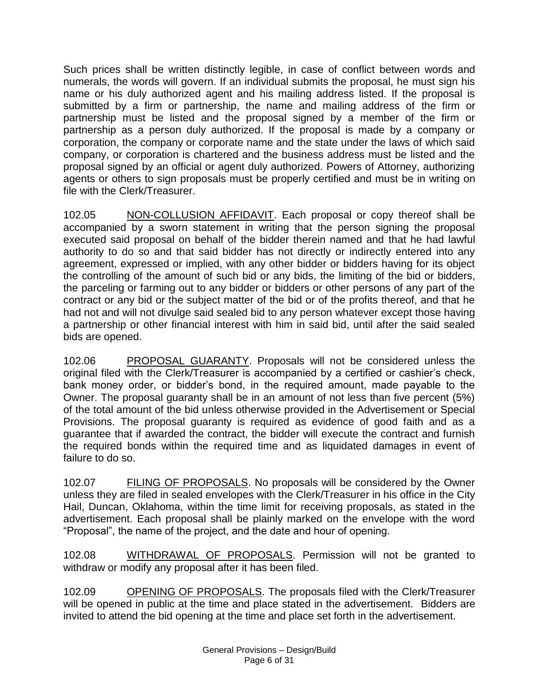Such prices shall be written distinctly legible, in case of conflict between words and numerals, the words will govern. If an individual submits the proposal, he must sign his name or his duly authorized agent and his mailing address listed. If the proposal is submitted by a firm or partnership, the name and mailing address of the firm or partnership must be listed and the proposal signed by a member of the firm or partnership as a person duly authorized. If the proposal is made by a company or corporation, the company or corporate name and the state under the laws of which said company, or corporation is chartered and the business address must be listed and the proposal signed by an official or agent duly authorized. Powers of Attorney, authorizing agents or others to sign proposals must be properly certified and must be in writing on file with the Clerk/Treasurer.

102.05 NON-COLLUSION AFFIDAVIT. Each proposal or copy thereof shall be accompanied by a sworn statement in writing that the person signing the proposal executed said proposal on behalf of the bidder therein named and that he had lawful authority to do so and that said bidder has not directly or indirectly entered into any agreement, expressed or implied, with any other bidder or bidders having for its object the controlling of the amount of such bid or any bids, the limiting of the bid or bidders, the parceling or farming out to any bidder or bidders or other persons of any part of the contract or any bid or the subject matter of the bid or of the profits thereof, and that he had not and will not divulge said sealed bid to any person whatever except those having a partnership or other financial interest with him in said bid, until after the said sealed bids are opened.

102.06 PROPOSAL GUARANTY. Proposals will not be considered unless the original filed with the Clerk/Treasurer is accompanied by a certified or cashier's check, bank money order, or bidder's bond, in the required amount, made payable to the Owner. The proposal guaranty shall be in an amount of not less than five percent (5%) of the total amount of the bid unless otherwise provided in the Advertisement or Special Provisions. The proposal guaranty is required as evidence of good faith and as a guarantee that if awarded the contract, the bidder will execute the contract and furnish the required bonds within the required time and as liquidated damages in event of failure to do so.

102.07 FILING OF PROPOSALS. No proposals will be considered by the Owner unless they are filed in sealed envelopes with the Clerk/Treasurer in his office in the City Hail, Duncan, Oklahoma, within the time limit for receiving proposals, as stated in the advertisement. Each proposal shall be plainly marked on the envelope with the word "Proposal", the name of the project, and the date and hour of opening.

102.08 WITHDRAWAL OF PROPOSALS. Permission will not be granted to withdraw or modify any proposal after it has been filed.

102.09 OPENING OF PROPOSALS. The proposals filed with the Clerk/Treasurer will be opened in public at the time and place stated in the advertisement. Bidders are invited to attend the bid opening at the time and place set forth in the advertisement.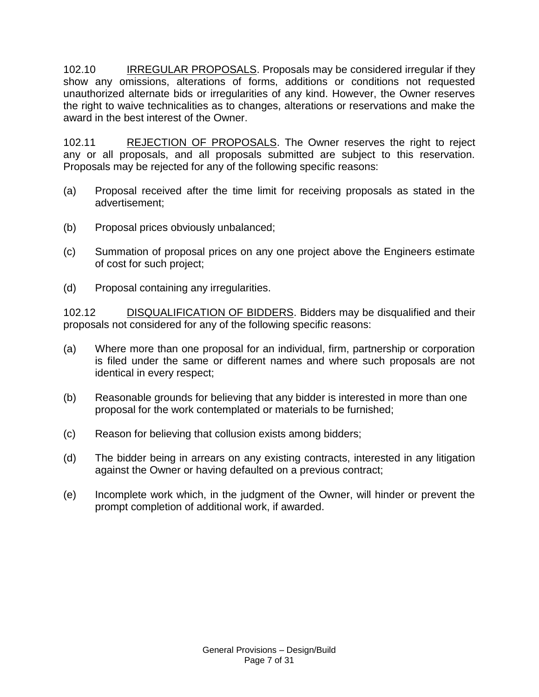102.10 IRREGULAR PROPOSALS. Proposals may be considered irregular if they show any omissions, alterations of forms, additions or conditions not requested unauthorized alternate bids or irregularities of any kind. However, the Owner reserves the right to waive technicalities as to changes, alterations or reservations and make the award in the best interest of the Owner.

102.11 REJECTION OF PROPOSALS. The Owner reserves the right to reject any or all proposals, and all proposals submitted are subject to this reservation. Proposals may be rejected for any of the following specific reasons:

- (a) Proposal received after the time limit for receiving proposals as stated in the advertisement;
- (b) Proposal prices obviously unbalanced;
- (c) Summation of proposal prices on any one project above the Engineers estimate of cost for such project;
- (d) Proposal containing any irregularities.

102.12 DISQUALIFICATION OF BIDDERS. Bidders may be disqualified and their proposals not considered for any of the following specific reasons:

- (a) Where more than one proposal for an individual, firm, partnership or corporation is filed under the same or different names and where such proposals are not identical in every respect;
- (b) Reasonable grounds for believing that any bidder is interested in more than one proposal for the work contemplated or materials to be furnished;
- (c) Reason for believing that collusion exists among bidders;
- (d) The bidder being in arrears on any existing contracts, interested in any litigation against the Owner or having defaulted on a previous contract;
- (e) Incomplete work which, in the judgment of the Owner, will hinder or prevent the prompt completion of additional work, if awarded.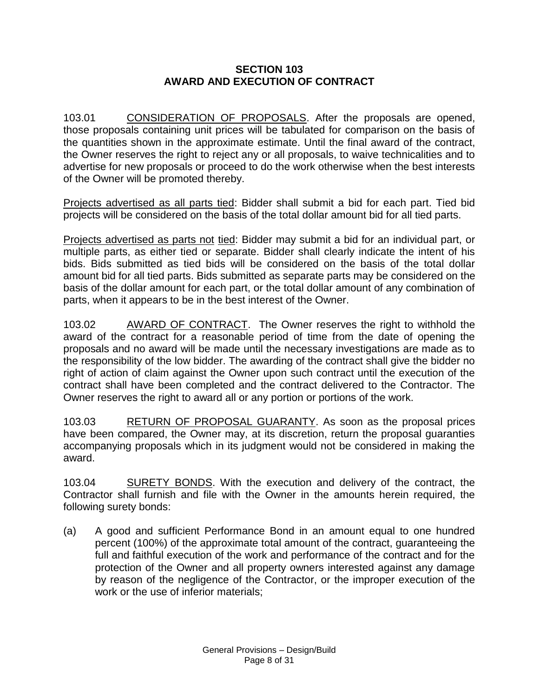## **SECTION 103 AWARD AND EXECUTION OF CONTRACT**

103.01 CONSIDERATION OF PROPOSALS. After the proposals are opened, those proposals containing unit prices will be tabulated for comparison on the basis of the quantities shown in the approximate estimate. Until the final award of the contract, the Owner reserves the right to reject any or all proposals, to waive technicalities and to advertise for new proposals or proceed to do the work otherwise when the best interests of the Owner will be promoted thereby.

Projects advertised as all parts tied: Bidder shall submit a bid for each part. Tied bid projects will be considered on the basis of the total dollar amount bid for all tied parts.

Projects advertised as parts not tied: Bidder may submit a bid for an individual part, or multiple parts, as either tied or separate. Bidder shall clearly indicate the intent of his bids. Bids submitted as tied bids will be considered on the basis of the total dollar amount bid for all tied parts. Bids submitted as separate parts may be considered on the basis of the dollar amount for each part, or the total dollar amount of any combination of parts, when it appears to be in the best interest of the Owner.

103.02 AWARD OF CONTRACT. The Owner reserves the right to withhold the award of the contract for a reasonable period of time from the date of opening the proposals and no award will be made until the necessary investigations are made as to the responsibility of the low bidder. The awarding of the contract shall give the bidder no right of action of claim against the Owner upon such contract until the execution of the contract shall have been completed and the contract delivered to the Contractor. The Owner reserves the right to award all or any portion or portions of the work.

103.03 RETURN OF PROPOSAL GUARANTY. As soon as the proposal prices have been compared, the Owner may, at its discretion, return the proposal guaranties accompanying proposals which in its judgment would not be considered in making the award.

103.04 SURETY BONDS. With the execution and delivery of the contract, the Contractor shall furnish and file with the Owner in the amounts herein required, the following surety bonds:

(a) A good and sufficient Performance Bond in an amount equal to one hundred percent (100%) of the approximate total amount of the contract, guaranteeing the full and faithful execution of the work and performance of the contract and for the protection of the Owner and all property owners interested against any damage by reason of the negligence of the Contractor, or the improper execution of the work or the use of inferior materials;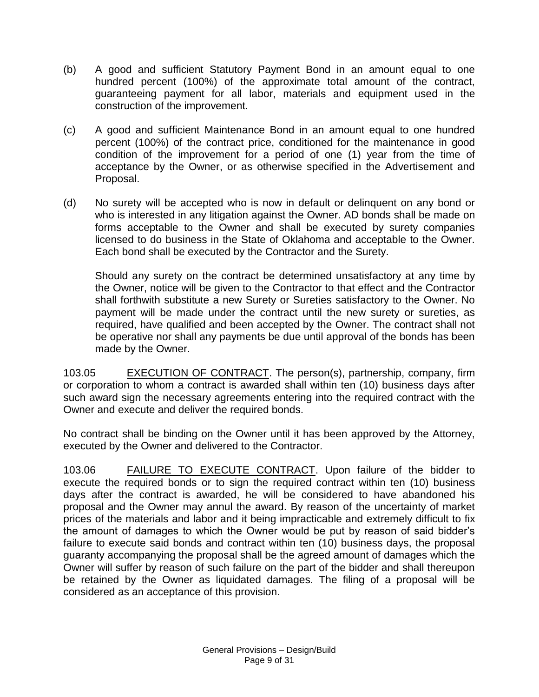- (b) A good and sufficient Statutory Payment Bond in an amount equal to one hundred percent (100%) of the approximate total amount of the contract, guaranteeing payment for all labor, materials and equipment used in the construction of the improvement.
- (c) A good and sufficient Maintenance Bond in an amount equal to one hundred percent (100%) of the contract price, conditioned for the maintenance in good condition of the improvement for a period of one (1) year from the time of acceptance by the Owner, or as otherwise specified in the Advertisement and Proposal.
- (d) No surety will be accepted who is now in default or delinquent on any bond or who is interested in any litigation against the Owner. AD bonds shall be made on forms acceptable to the Owner and shall be executed by surety companies licensed to do business in the State of Oklahoma and acceptable to the Owner. Each bond shall be executed by the Contractor and the Surety.

Should any surety on the contract be determined unsatisfactory at any time by the Owner, notice will be given to the Contractor to that effect and the Contractor shall forthwith substitute a new Surety or Sureties satisfactory to the Owner. No payment will be made under the contract until the new surety or sureties, as required, have qualified and been accepted by the Owner. The contract shall not be operative nor shall any payments be due until approval of the bonds has been made by the Owner.

103.05 EXECUTION OF CONTRACT. The person(s), partnership, company, firm or corporation to whom a contract is awarded shall within ten (10) business days after such award sign the necessary agreements entering into the required contract with the Owner and execute and deliver the required bonds.

No contract shall be binding on the Owner until it has been approved by the Attorney, executed by the Owner and delivered to the Contractor.

103.06 FAILURE TO EXECUTE CONTRACT. Upon failure of the bidder to execute the required bonds or to sign the required contract within ten (10) business days after the contract is awarded, he will be considered to have abandoned his proposal and the Owner may annul the award. By reason of the uncertainty of market prices of the materials and labor and it being impracticable and extremely difficult to fix the amount of damages to which the Owner would be put by reason of said bidder's failure to execute said bonds and contract within ten (10) business days, the proposal guaranty accompanying the proposal shall be the agreed amount of damages which the Owner will suffer by reason of such failure on the part of the bidder and shall thereupon be retained by the Owner as liquidated damages. The filing of a proposal will be considered as an acceptance of this provision.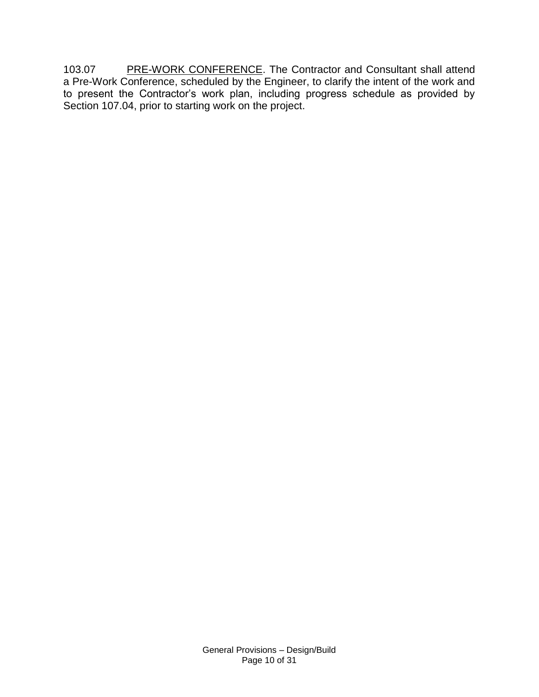103.07 PRE-WORK CONFERENCE. The Contractor and Consultant shall attend a Pre-Work Conference, scheduled by the Engineer, to clarify the intent of the work and to present the Contractor's work plan, including progress schedule as provided by Section 107.04, prior to starting work on the project.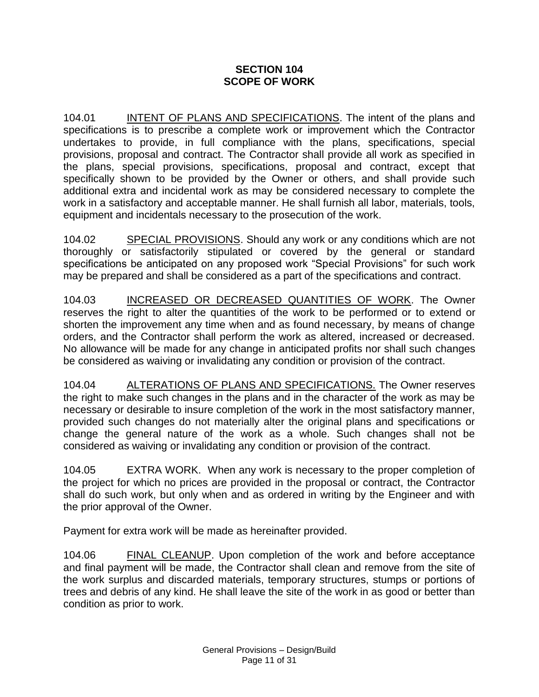## **SECTION 104 SCOPE OF WORK**

104.01 INTENT OF PLANS AND SPECIFICATIONS. The intent of the plans and specifications is to prescribe a complete work or improvement which the Contractor undertakes to provide, in full compliance with the plans, specifications, special provisions, proposal and contract. The Contractor shall provide all work as specified in the plans, special provisions, specifications, proposal and contract, except that specifically shown to be provided by the Owner or others, and shall provide such additional extra and incidental work as may be considered necessary to complete the work in a satisfactory and acceptable manner. He shall furnish all labor, materials, tools, equipment and incidentals necessary to the prosecution of the work.

104.02 SPECIAL PROVISIONS. Should any work or any conditions which are not thoroughly or satisfactorily stipulated or covered by the general or standard specifications be anticipated on any proposed work "Special Provisions" for such work may be prepared and shall be considered as a part of the specifications and contract.

104.03 INCREASED OR DECREASED QUANTITIES OF WORK. The Owner reserves the right to alter the quantities of the work to be performed or to extend or shorten the improvement any time when and as found necessary, by means of change orders, and the Contractor shall perform the work as altered, increased or decreased. No allowance will be made for any change in anticipated profits nor shall such changes be considered as waiving or invalidating any condition or provision of the contract.

104.04 ALTERATIONS OF PLANS AND SPECIFICATIONS. The Owner reserves the right to make such changes in the plans and in the character of the work as may be necessary or desirable to insure completion of the work in the most satisfactory manner, provided such changes do not materially alter the original plans and specifications or change the general nature of the work as a whole. Such changes shall not be considered as waiving or invalidating any condition or provision of the contract.

104.05 EXTRA WORK. When any work is necessary to the proper completion of the project for which no prices are provided in the proposal or contract, the Contractor shall do such work, but only when and as ordered in writing by the Engineer and with the prior approval of the Owner.

Payment for extra work will be made as hereinafter provided.

104.06 FINAL CLEANUP. Upon completion of the work and before acceptance and final payment will be made, the Contractor shall clean and remove from the site of the work surplus and discarded materials, temporary structures, stumps or portions of trees and debris of any kind. He shall leave the site of the work in as good or better than condition as prior to work.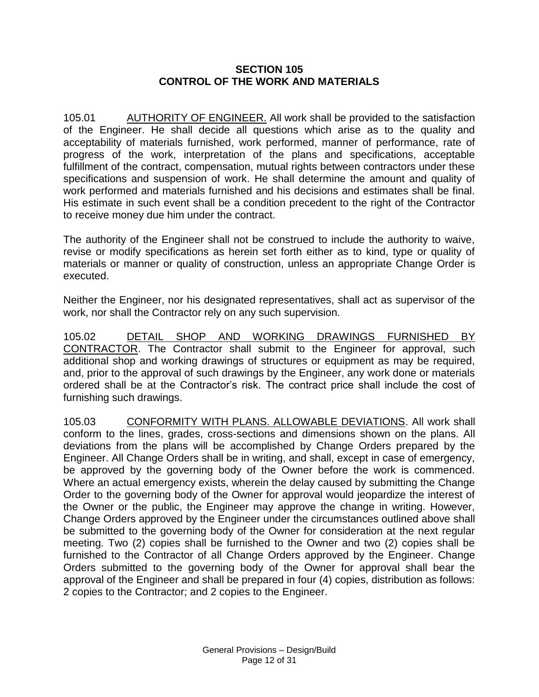## **SECTION 105 CONTROL OF THE WORK AND MATERIALS**

105.01 AUTHORITY OF ENGINEER. All work shall be provided to the satisfaction of the Engineer. He shall decide all questions which arise as to the quality and acceptability of materials furnished, work performed, manner of performance, rate of progress of the work, interpretation of the plans and specifications, acceptable fulfillment of the contract, compensation, mutual rights between contractors under these specifications and suspension of work. He shall determine the amount and quality of work performed and materials furnished and his decisions and estimates shall be final. His estimate in such event shall be a condition precedent to the right of the Contractor to receive money due him under the contract.

The authority of the Engineer shall not be construed to include the authority to waive, revise or modify specifications as herein set forth either as to kind, type or quality of materials or manner or quality of construction, unless an appropriate Change Order is executed.

Neither the Engineer, nor his designated representatives, shall act as supervisor of the work, nor shall the Contractor rely on any such supervision.

105.02 DETAIL SHOP AND WORKING DRAWINGS FURNISHED BY CONTRACTOR. The Contractor shall submit to the Engineer for approval, such additional shop and working drawings of structures or equipment as may be required, and, prior to the approval of such drawings by the Engineer, any work done or materials ordered shall be at the Contractor's risk. The contract price shall include the cost of furnishing such drawings.

105.03 CONFORMITY WITH PLANS. ALLOWABLE DEVIATIONS. All work shall conform to the lines, grades, cross-sections and dimensions shown on the plans. All deviations from the plans will be accomplished by Change Orders prepared by the Engineer. All Change Orders shall be in writing, and shall, except in case of emergency, be approved by the governing body of the Owner before the work is commenced. Where an actual emergency exists, wherein the delay caused by submitting the Change Order to the governing body of the Owner for approval would jeopardize the interest of the Owner or the public, the Engineer may approve the change in writing. However, Change Orders approved by the Engineer under the circumstances outlined above shall be submitted to the governing body of the Owner for consideration at the next regular meeting. Two (2) copies shall be furnished to the Owner and two (2) copies shall be furnished to the Contractor of all Change Orders approved by the Engineer. Change Orders submitted to the governing body of the Owner for approval shall bear the approval of the Engineer and shall be prepared in four (4) copies, distribution as follows: 2 copies to the Contractor; and 2 copies to the Engineer.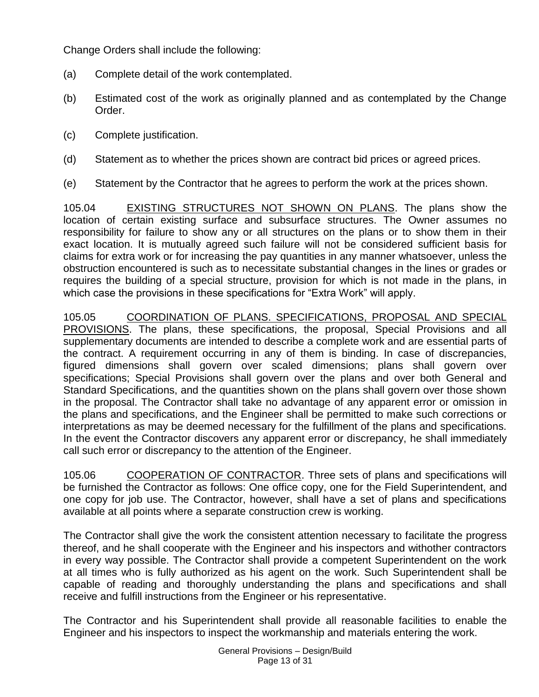Change Orders shall include the following:

- (a) Complete detail of the work contemplated.
- (b) Estimated cost of the work as originally planned and as contemplated by the Change Order.
- (c) Complete justification.
- (d) Statement as to whether the prices shown are contract bid prices or agreed prices.
- (e) Statement by the Contractor that he agrees to perform the work at the prices shown.

105.04 EXISTING STRUCTURES NOT SHOWN ON PLANS. The plans show the location of certain existing surface and subsurface structures. The Owner assumes no responsibility for failure to show any or all structures on the plans or to show them in their exact location. It is mutually agreed such failure will not be considered sufficient basis for claims for extra work or for increasing the pay quantities in any manner whatsoever, unless the obstruction encountered is such as to necessitate substantial changes in the lines or grades or requires the building of a special structure, provision for which is not made in the plans, in which case the provisions in these specifications for "Extra Work" will apply.

105.05 COORDINATION OF PLANS. SPECIFICATIONS, PROPOSAL AND SPECIAL PROVISIONS. The plans, these specifications, the proposal, Special Provisions and all supplementary documents are intended to describe a complete work and are essential parts of the contract. A requirement occurring in any of them is binding. In case of discrepancies, figured dimensions shall govern over scaled dimensions; plans shall govern over specifications; Special Provisions shall govern over the plans and over both General and Standard Specifications, and the quantities shown on the plans shall govern over those shown in the proposal. The Contractor shall take no advantage of any apparent error or omission in the plans and specifications, and the Engineer shall be permitted to make such corrections or interpretations as may be deemed necessary for the fulfillment of the plans and specifications. In the event the Contractor discovers any apparent error or discrepancy, he shall immediately call such error or discrepancy to the attention of the Engineer.

105.06 COOPERATION OF CONTRACTOR. Three sets of plans and specifications will be furnished the Contractor as follows: One office copy, one for the Field Superintendent, and one copy for job use. The Contractor, however, shall have a set of plans and specifications available at all points where a separate construction crew is working.

The Contractor shall give the work the consistent attention necessary to facilitate the progress thereof, and he shall cooperate with the Engineer and his inspectors and withother contractors in every way possible. The Contractor shall provide a competent Superintendent on the work at all times who is fully authorized as his agent on the work. Such Superintendent shall be capable of reading and thoroughly understanding the plans and specifications and shall receive and fulfill instructions from the Engineer or his representative.

The Contractor and his Superintendent shall provide all reasonable facilities to enable the Engineer and his inspectors to inspect the workmanship and materials entering the work.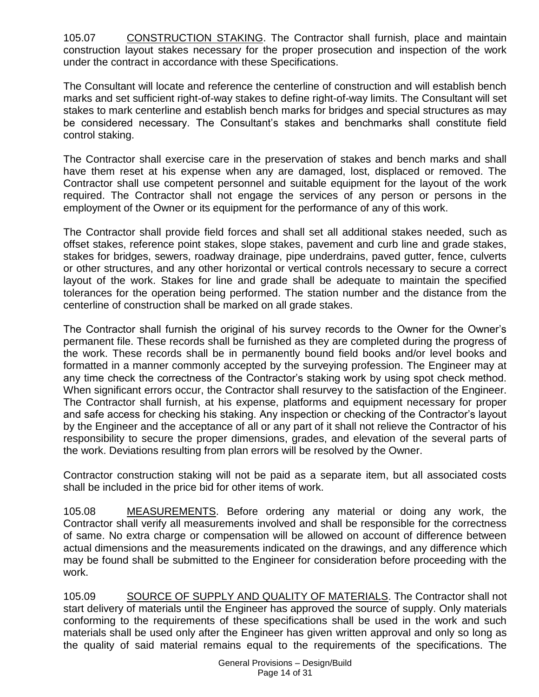105.07 CONSTRUCTION STAKING. The Contractor shall furnish, place and maintain construction layout stakes necessary for the proper prosecution and inspection of the work under the contract in accordance with these Specifications.

The Consultant will locate and reference the centerline of construction and will establish bench marks and set sufficient right-of-way stakes to define right-of-way limits. The Consultant will set stakes to mark centerline and establish bench marks for bridges and special structures as may be considered necessary. The Consultant's stakes and benchmarks shall constitute field control staking.

The Contractor shall exercise care in the preservation of stakes and bench marks and shall have them reset at his expense when any are damaged, lost, displaced or removed. The Contractor shall use competent personnel and suitable equipment for the layout of the work required. The Contractor shall not engage the services of any person or persons in the employment of the Owner or its equipment for the performance of any of this work.

The Contractor shall provide field forces and shall set all additional stakes needed, such as offset stakes, reference point stakes, slope stakes, pavement and curb line and grade stakes, stakes for bridges, sewers, roadway drainage, pipe underdrains, paved gutter, fence, culverts or other structures, and any other horizontal or vertical controls necessary to secure a correct layout of the work. Stakes for line and grade shall be adequate to maintain the specified tolerances for the operation being performed. The station number and the distance from the centerline of construction shall be marked on all grade stakes.

The Contractor shall furnish the original of his survey records to the Owner for the Owner's permanent file. These records shall be furnished as they are completed during the progress of the work. These records shall be in permanently bound field books and/or level books and formatted in a manner commonly accepted by the surveying profession. The Engineer may at any time check the correctness of the Contractor's staking work by using spot check method. When significant errors occur, the Contractor shall resurvey to the satisfaction of the Engineer. The Contractor shall furnish, at his expense, platforms and equipment necessary for proper and safe access for checking his staking. Any inspection or checking of the Contractor's layout by the Engineer and the acceptance of all or any part of it shall not relieve the Contractor of his responsibility to secure the proper dimensions, grades, and elevation of the several parts of the work. Deviations resulting from plan errors will be resolved by the Owner.

Contractor construction staking will not be paid as a separate item, but all associated costs shall be included in the price bid for other items of work.

105.08 MEASUREMENTS. Before ordering any material or doing any work, the Contractor shall verify all measurements involved and shall be responsible for the correctness of same. No extra charge or compensation will be allowed on account of difference between actual dimensions and the measurements indicated on the drawings, and any difference which may be found shall be submitted to the Engineer for consideration before proceeding with the work.

105.09 SOURCE OF SUPPLY AND QUALITY OF MATERIALS. The Contractor shall not start delivery of materials until the Engineer has approved the source of supply. Only materials conforming to the requirements of these specifications shall be used in the work and such materials shall be used only after the Engineer has given written approval and only so long as the quality of said material remains equal to the requirements of the specifications. The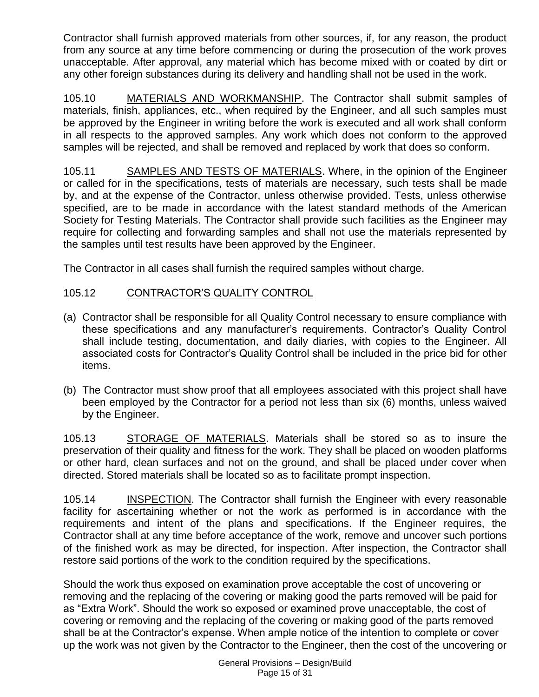Contractor shall furnish approved materials from other sources, if, for any reason, the product from any source at any time before commencing or during the prosecution of the work proves unacceptable. After approval, any material which has become mixed with or coated by dirt or any other foreign substances during its delivery and handling shall not be used in the work.

105.10 MATERIALS AND WORKMANSHIP. The Contractor shall submit samples of materials, finish, appliances, etc., when required by the Engineer, and all such samples must be approved by the Engineer in writing before the work is executed and all work shall conform in all respects to the approved samples. Any work which does not conform to the approved samples will be rejected, and shall be removed and replaced by work that does so conform.

105.11 SAMPLES AND TESTS OF MATERIALS. Where, in the opinion of the Engineer or called for in the specifications, tests of materials are necessary, such tests shall be made by, and at the expense of the Contractor, unless otherwise provided. Tests, unless otherwise specified, are to be made in accordance with the latest standard methods of the American Society for Testing Materials. The Contractor shall provide such facilities as the Engineer may require for collecting and forwarding samples and shall not use the materials represented by the samples until test results have been approved by the Engineer.

The Contractor in all cases shall furnish the required samples without charge.

# 105.12 CONTRACTOR'S QUALITY CONTROL

- (a) Contractor shall be responsible for all Quality Control necessary to ensure compliance with these specifications and any manufacturer's requirements. Contractor's Quality Control shall include testing, documentation, and daily diaries, with copies to the Engineer. All associated costs for Contractor's Quality Control shall be included in the price bid for other items.
- (b) The Contractor must show proof that all employees associated with this project shall have been employed by the Contractor for a period not less than six (6) months, unless waived by the Engineer.

105.13 STORAGE OF MATERIALS. Materials shall be stored so as to insure the preservation of their quality and fitness for the work. They shall be placed on wooden platforms or other hard, clean surfaces and not on the ground, and shall be placed under cover when directed. Stored materials shall be located so as to facilitate prompt inspection.

105.14 INSPECTION. The Contractor shall furnish the Engineer with every reasonable facility for ascertaining whether or not the work as performed is in accordance with the requirements and intent of the plans and specifications. If the Engineer requires, the Contractor shall at any time before acceptance of the work, remove and uncover such portions of the finished work as may be directed, for inspection. After inspection, the Contractor shall restore said portions of the work to the condition required by the specifications.

Should the work thus exposed on examination prove acceptable the cost of uncovering or removing and the replacing of the covering or making good the parts removed will be paid for as "Extra Work". Should the work so exposed or examined prove unacceptable, the cost of covering or removing and the replacing of the covering or making good of the parts removed shall be at the Contractor's expense. When ample notice of the intention to complete or cover up the work was not given by the Contractor to the Engineer, then the cost of the uncovering or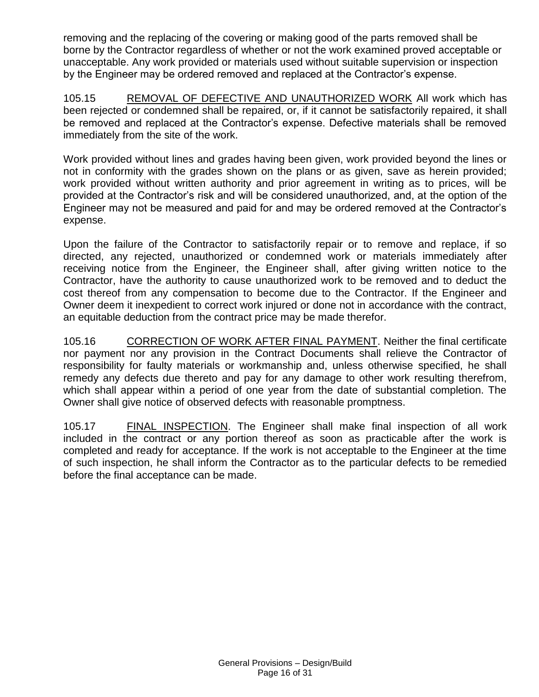removing and the replacing of the covering or making good of the parts removed shall be borne by the Contractor regardless of whether or not the work examined proved acceptable or unacceptable. Any work provided or materials used without suitable supervision or inspection by the Engineer may be ordered removed and replaced at the Contractor's expense.

105.15 REMOVAL OF DEFECTIVE AND UNAUTHORIZED WORK All work which has been rejected or condemned shall be repaired, or, if it cannot be satisfactorily repaired, it shall be removed and replaced at the Contractor's expense. Defective materials shall be removed immediately from the site of the work.

Work provided without lines and grades having been given, work provided beyond the lines or not in conformity with the grades shown on the plans or as given, save as herein provided; work provided without written authority and prior agreement in writing as to prices, will be provided at the Contractor's risk and will be considered unauthorized, and, at the option of the Engineer may not be measured and paid for and may be ordered removed at the Contractor's expense.

Upon the failure of the Contractor to satisfactorily repair or to remove and replace, if so directed, any rejected, unauthorized or condemned work or materials immediately after receiving notice from the Engineer, the Engineer shall, after giving written notice to the Contractor, have the authority to cause unauthorized work to be removed and to deduct the cost thereof from any compensation to become due to the Contractor. If the Engineer and Owner deem it inexpedient to correct work injured or done not in accordance with the contract, an equitable deduction from the contract price may be made therefor.

105.16 CORRECTION OF WORK AFTER FINAL PAYMENT. Neither the final certificate nor payment nor any provision in the Contract Documents shall relieve the Contractor of responsibility for faulty materials or workmanship and, unless otherwise specified, he shall remedy any defects due thereto and pay for any damage to other work resulting therefrom, which shall appear within a period of one year from the date of substantial completion. The Owner shall give notice of observed defects with reasonable promptness.

105.17 FINAL INSPECTION. The Engineer shall make final inspection of all work included in the contract or any portion thereof as soon as practicable after the work is completed and ready for acceptance. If the work is not acceptable to the Engineer at the time of such inspection, he shall inform the Contractor as to the particular defects to be remedied before the final acceptance can be made.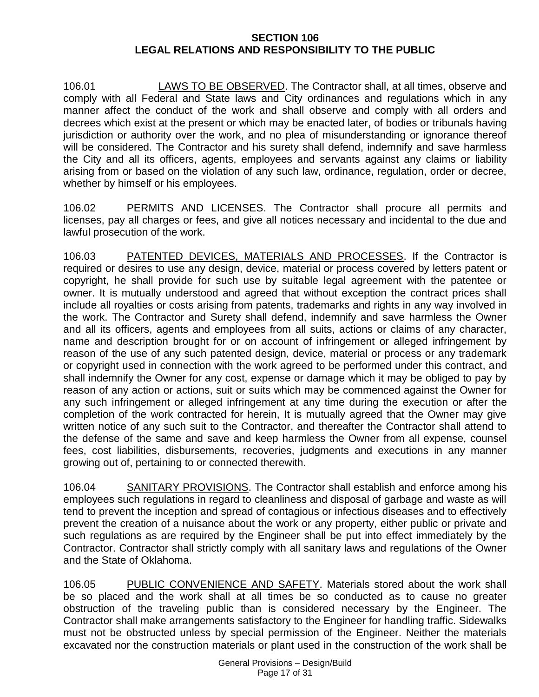### **SECTION 106 LEGAL RELATIONS AND RESPONSIBILITY TO THE PUBLIC**

106.01 LAWS TO BE OBSERVED. The Contractor shall, at all times, observe and comply with all Federal and State laws and City ordinances and regulations which in any manner affect the conduct of the work and shall observe and comply with all orders and decrees which exist at the present or which may be enacted later, of bodies or tribunals having jurisdiction or authority over the work, and no plea of misunderstanding or ignorance thereof will be considered. The Contractor and his surety shall defend, indemnify and save harmless the City and all its officers, agents, employees and servants against any claims or liability arising from or based on the violation of any such law, ordinance, regulation, order or decree, whether by himself or his employees.

106.02 PERMITS AND LICENSES. The Contractor shall procure all permits and licenses, pay all charges or fees, and give all notices necessary and incidental to the due and lawful prosecution of the work.

106.03 PATENTED DEVICES, MATERIALS AND PROCESSES. If the Contractor is required or desires to use any design, device, material or process covered by letters patent or copyright, he shall provide for such use by suitable legal agreement with the patentee or owner. It is mutually understood and agreed that without exception the contract prices shall include all royalties or costs arising from patents, trademarks and rights in any way involved in the work. The Contractor and Surety shall defend, indemnify and save harmless the Owner and all its officers, agents and employees from all suits, actions or claims of any character, name and description brought for or on account of infringement or alleged infringement by reason of the use of any such patented design, device, material or process or any trademark or copyright used in connection with the work agreed to be performed under this contract, and shall indemnify the Owner for any cost, expense or damage which it may be obliged to pay by reason of any action or actions, suit or suits which may be commenced against the Owner for any such infringement or alleged infringement at any time during the execution or after the completion of the work contracted for herein, It is mutually agreed that the Owner may give written notice of any such suit to the Contractor, and thereafter the Contractor shall attend to the defense of the same and save and keep harmless the Owner from all expense, counsel fees, cost liabilities, disbursements, recoveries, judgments and executions in any manner growing out of, pertaining to or connected therewith.

106.04 SANITARY PROVISIONS. The Contractor shall establish and enforce among his employees such regulations in regard to cleanliness and disposal of garbage and waste as will tend to prevent the inception and spread of contagious or infectious diseases and to effectively prevent the creation of a nuisance about the work or any property, either public or private and such regulations as are required by the Engineer shall be put into effect immediately by the Contractor. Contractor shall strictly comply with all sanitary laws and regulations of the Owner and the State of Oklahoma.

106.05 PUBLIC CONVENIENCE AND SAFETY. Materials stored about the work shall be so placed and the work shall at all times be so conducted as to cause no greater obstruction of the traveling public than is considered necessary by the Engineer. The Contractor shall make arrangements satisfactory to the Engineer for handling traffic. Sidewalks must not be obstructed unless by special permission of the Engineer. Neither the materials excavated nor the construction materials or plant used in the construction of the work shall be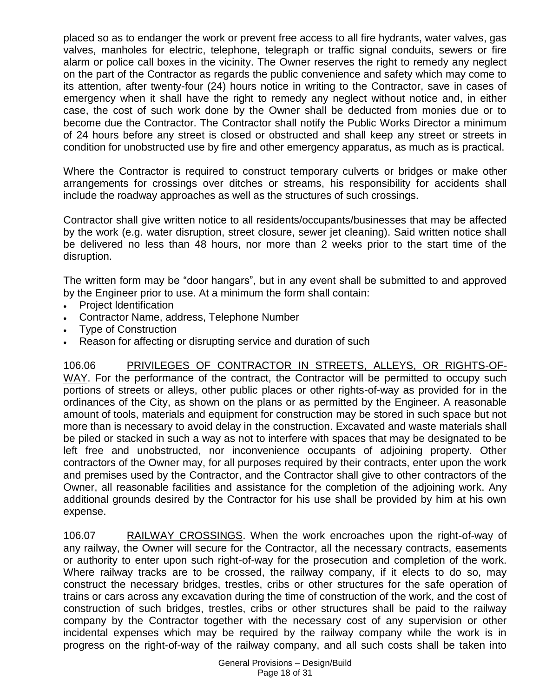placed so as to endanger the work or prevent free access to all fire hydrants, water valves, gas valves, manholes for electric, telephone, telegraph or traffic signal conduits, sewers or fire alarm or police call boxes in the vicinity. The Owner reserves the right to remedy any neglect on the part of the Contractor as regards the public convenience and safety which may come to its attention, after twenty-four (24) hours notice in writing to the Contractor, save in cases of emergency when it shall have the right to remedy any neglect without notice and, in either case, the cost of such work done by the Owner shall be deducted from monies due or to become due the Contractor. The Contractor shall notify the Public Works Director a minimum of 24 hours before any street is closed or obstructed and shall keep any street or streets in condition for unobstructed use by fire and other emergency apparatus, as much as is practical.

Where the Contractor is required to construct temporary culverts or bridges or make other arrangements for crossings over ditches or streams, his responsibility for accidents shall include the roadway approaches as well as the structures of such crossings.

Contractor shall give written notice to all residents/occupants/businesses that may be affected by the work (e.g. water disruption, street closure, sewer jet cleaning). Said written notice shall be delivered no less than 48 hours, nor more than 2 weeks prior to the start time of the disruption.

The written form may be "door hangars", but in any event shall be submitted to and approved by the Engineer prior to use. At a minimum the form shall contain:

- Project ldentification
- Contractor Name, address, Telephone Number
- Type of Construction
- Reason for affecting or disrupting service and duration of such

106.06 PRIVILEGES OF CONTRACTOR IN STREETS, ALLEYS, OR RIGHTS-OF-WAY. For the performance of the contract, the Contractor will be permitted to occupy such portions of streets or alleys, other public places or other rights-of-way as provided for in the ordinances of the City, as shown on the plans or as permitted by the Engineer. A reasonable amount of tools, materials and equipment for construction may be stored in such space but not more than is necessary to avoid delay in the construction. Excavated and waste materials shall be piled or stacked in such a way as not to interfere with spaces that may be designated to be left free and unobstructed, nor inconvenience occupants of adjoining property. Other contractors of the Owner may, for all purposes required by their contracts, enter upon the work and premises used by the Contractor, and the Contractor shall give to other contractors of the Owner, all reasonable facilities and assistance for the completion of the adjoining work. Any additional grounds desired by the Contractor for his use shall be provided by him at his own expense.

106.07 RAILWAY CROSSINGS. When the work encroaches upon the right-of-way of any railway, the Owner will secure for the Contractor, all the necessary contracts, easements or authority to enter upon such right-of-way for the prosecution and completion of the work. Where railway tracks are to be crossed, the railway company, if it elects to do so, may construct the necessary bridges, trestles, cribs or other structures for the safe operation of trains or cars across any excavation during the time of construction of the work, and the cost of construction of such bridges, trestles, cribs or other structures shall be paid to the railway company by the Contractor together with the necessary cost of any supervision or other incidental expenses which may be required by the railway company while the work is in progress on the right-of-way of the railway company, and all such costs shall be taken into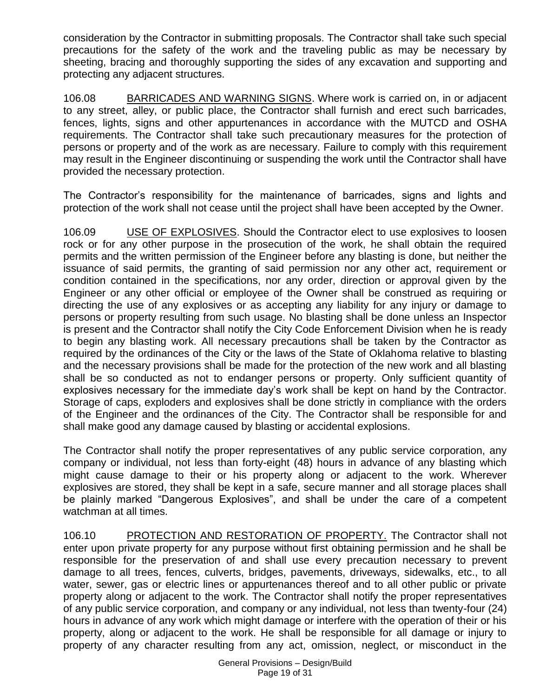consideration by the Contractor in submitting proposals. The Contractor shall take such special precautions for the safety of the work and the traveling public as may be necessary by sheeting, bracing and thoroughly supporting the sides of any excavation and supporting and protecting any adjacent structures.

106.08 BARRICADES AND WARNING SIGNS. Where work is carried on, in or adjacent to any street, alley, or public place, the Contractor shall furnish and erect such barricades, fences, lights, signs and other appurtenances in accordance with the MUTCD and OSHA requirements. The Contractor shall take such precautionary measures for the protection of persons or property and of the work as are necessary. Failure to comply with this requirement may result in the Engineer discontinuing or suspending the work until the Contractor shall have provided the necessary protection.

The Contractor's responsibility for the maintenance of barricades, signs and lights and protection of the work shall not cease until the project shall have been accepted by the Owner.

106.09 USE OF EXPLOSIVES. Should the Contractor elect to use explosives to loosen rock or for any other purpose in the prosecution of the work, he shall obtain the required permits and the written permission of the Engineer before any blasting is done, but neither the issuance of said permits, the granting of said permission nor any other act, requirement or condition contained in the specifications, nor any order, direction or approval given by the Engineer or any other official or employee of the Owner shall be construed as requiring or directing the use of any explosives or as accepting any liability for any injury or damage to persons or property resulting from such usage. No blasting shall be done unless an Inspector is present and the Contractor shall notify the City Code Enforcement Division when he is ready to begin any blasting work. All necessary precautions shall be taken by the Contractor as required by the ordinances of the City or the laws of the State of Oklahoma relative to blasting and the necessary provisions shall be made for the protection of the new work and all blasting shall be so conducted as not to endanger persons or property. Only sufficient quantity of explosives necessary for the immediate day's work shall be kept on hand by the Contractor. Storage of caps, exploders and explosives shall be done strictly in compliance with the orders of the Engineer and the ordinances of the City. The Contractor shall be responsible for and shall make good any damage caused by blasting or accidental explosions.

The Contractor shall notify the proper representatives of any public service corporation, any company or individual, not less than forty-eight (48) hours in advance of any blasting which might cause damage to their or his property along or adjacent to the work. Wherever explosives are stored, they shall be kept in a safe, secure manner and all storage places shall be plainly marked "Dangerous Explosives", and shall be under the care of a competent watchman at all times.

106.10 PROTECTION AND RESTORATION OF PROPERTY. The Contractor shall not enter upon private property for any purpose without first obtaining permission and he shall be responsible for the preservation of and shall use every precaution necessary to prevent damage to all trees, fences, culverts, bridges, pavements, driveways, sidewalks, etc., to all water, sewer, gas or electric lines or appurtenances thereof and to all other public or private property along or adjacent to the work. The Contractor shall notify the proper representatives of any public service corporation, and company or any individual, not less than twenty-four (24) hours in advance of any work which might damage or interfere with the operation of their or his property, along or adjacent to the work. He shall be responsible for all damage or injury to property of any character resulting from any act, omission, neglect, or misconduct in the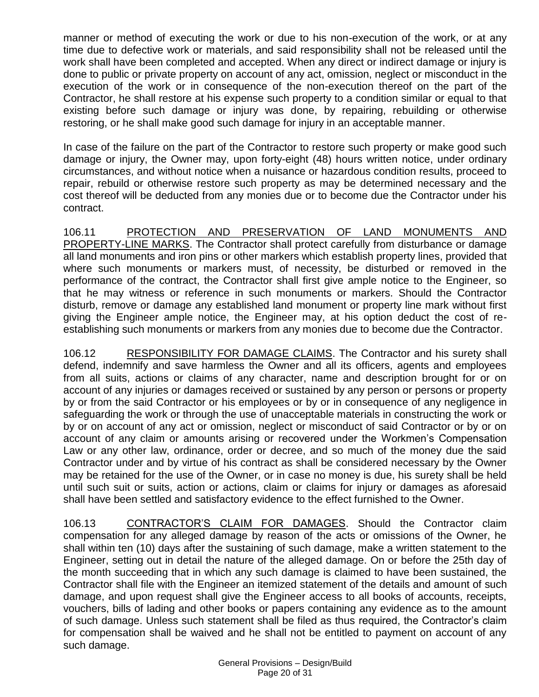manner or method of executing the work or due to his non-execution of the work, or at any time due to defective work or materials, and said responsibility shall not be released until the work shall have been completed and accepted. When any direct or indirect damage or injury is done to public or private property on account of any act, omission, neglect or misconduct in the execution of the work or in consequence of the non-execution thereof on the part of the Contractor, he shall restore at his expense such property to a condition similar or equal to that existing before such damage or injury was done, by repairing, rebuilding or otherwise restoring, or he shall make good such damage for injury in an acceptable manner.

In case of the failure on the part of the Contractor to restore such property or make good such damage or injury, the Owner may, upon forty-eight (48) hours written notice, under ordinary circumstances, and without notice when a nuisance or hazardous condition results, proceed to repair, rebuild or otherwise restore such property as may be determined necessary and the cost thereof will be deducted from any monies due or to become due the Contractor under his contract.

106.11 PROTECTION AND PRESERVATION OF LAND MONUMENTS AND PROPERTY-LINE MARKS. The Contractor shall protect carefully from disturbance or damage all land monuments and iron pins or other markers which establish property lines, provided that where such monuments or markers must, of necessity, be disturbed or removed in the performance of the contract, the Contractor shall first give ample notice to the Engineer, so that he may witness or reference in such monuments or markers. Should the Contractor disturb, remove or damage any established land monument or property line mark without first giving the Engineer ample notice, the Engineer may, at his option deduct the cost of reestablishing such monuments or markers from any monies due to become due the Contractor.

106.12 RESPONSIBILITY FOR DAMAGE CLAIMS. The Contractor and his surety shall defend, indemnify and save harmless the Owner and all its officers, agents and employees from all suits, actions or claims of any character, name and description brought for or on account of any injuries or damages received or sustained by any person or persons or property by or from the said Contractor or his employees or by or in consequence of any negligence in safeguarding the work or through the use of unacceptable materials in constructing the work or by or on account of any act or omission, neglect or misconduct of said Contractor or by or on account of any claim or amounts arising or recovered under the Workmen's Compensation Law or any other law, ordinance, order or decree, and so much of the money due the said Contractor under and by virtue of his contract as shall be considered necessary by the Owner may be retained for the use of the Owner, or in case no money is due, his surety shall be held until such suit or suits, action or actions, claim or claims for injury or damages as aforesaid shall have been settled and satisfactory evidence to the effect furnished to the Owner.

106.13 CONTRACTOR'S CLAIM FOR DAMAGES. Should the Contractor claim compensation for any alleged damage by reason of the acts or omissions of the Owner, he shall within ten (10) days after the sustaining of such damage, make a written statement to the Engineer, setting out in detail the nature of the alleged damage. On or before the 25th day of the month succeeding that in which any such damage is claimed to have been sustained, the Contractor shall file with the Engineer an itemized statement of the details and amount of such damage, and upon request shall give the Engineer access to all books of accounts, receipts, vouchers, bills of lading and other books or papers containing any evidence as to the amount of such damage. Unless such statement shall be filed as thus required, the Contractor's claim for compensation shall be waived and he shall not be entitled to payment on account of any such damage.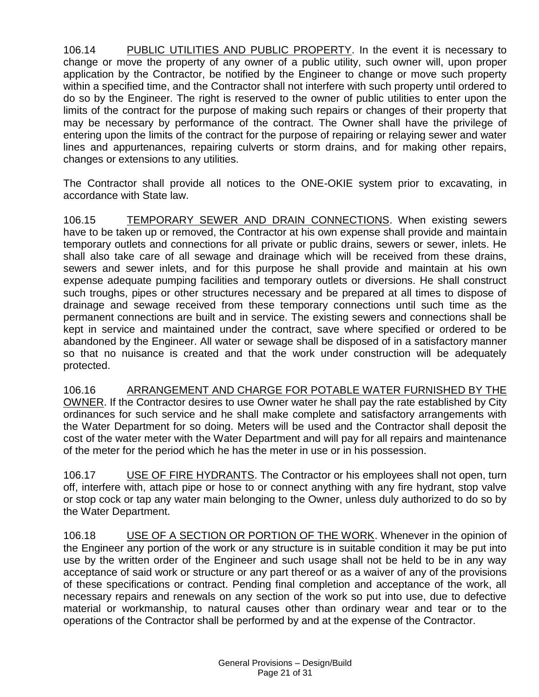106.14 PUBLIC UTILITIES AND PUBLIC PROPERTY. In the event it is necessary to change or move the property of any owner of a public utility, such owner will, upon proper application by the Contractor, be notified by the Engineer to change or move such property within a specified time, and the Contractor shall not interfere with such property until ordered to do so by the Engineer. The right is reserved to the owner of public utilities to enter upon the limits of the contract for the purpose of making such repairs or changes of their property that may be necessary by performance of the contract. The Owner shall have the privilege of entering upon the limits of the contract for the purpose of repairing or relaying sewer and water lines and appurtenances, repairing culverts or storm drains, and for making other repairs, changes or extensions to any utilities.

The Contractor shall provide all notices to the ONE-OKIE system prior to excavating, in accordance with State law.

106.15 TEMPORARY SEWER AND DRAIN CONNECTIONS. When existing sewers have to be taken up or removed, the Contractor at his own expense shall provide and maintain temporary outlets and connections for all private or public drains, sewers or sewer, inlets. He shall also take care of all sewage and drainage which will be received from these drains, sewers and sewer inlets, and for this purpose he shall provide and maintain at his own expense adequate pumping facilities and temporary outlets or diversions. He shall construct such troughs, pipes or other structures necessary and be prepared at all times to dispose of drainage and sewage received from these temporary connections until such time as the permanent connections are built and in service. The existing sewers and connections shall be kept in service and maintained under the contract, save where specified or ordered to be abandoned by the Engineer. All water or sewage shall be disposed of in a satisfactory manner so that no nuisance is created and that the work under construction will be adequately protected.

106.16 ARRANGEMENT AND CHARGE FOR POTABLE WATER FURNISHED BY THE OWNER. If the Contractor desires to use Owner water he shall pay the rate established by City ordinances for such service and he shall make complete and satisfactory arrangements with the Water Department for so doing. Meters will be used and the Contractor shall deposit the cost of the water meter with the Water Department and will pay for all repairs and maintenance of the meter for the period which he has the meter in use or in his possession.

106.17 USE OF FIRE HYDRANTS. The Contractor or his employees shall not open, turn off, interfere with, attach pipe or hose to or connect anything with any fire hydrant, stop valve or stop cock or tap any water main belonging to the Owner, unless duly authorized to do so by the Water Department.

106.18 USE OF A SECTION OR PORTION OF THE WORK. Whenever in the opinion of the Engineer any portion of the work or any structure is in suitable condition it may be put into use by the written order of the Engineer and such usage shall not be held to be in any way acceptance of said work or structure or any part thereof or as a waiver of any of the provisions of these specifications or contract. Pending final completion and acceptance of the work, all necessary repairs and renewals on any section of the work so put into use, due to defective material or workmanship, to natural causes other than ordinary wear and tear or to the operations of the Contractor shall be performed by and at the expense of the Contractor.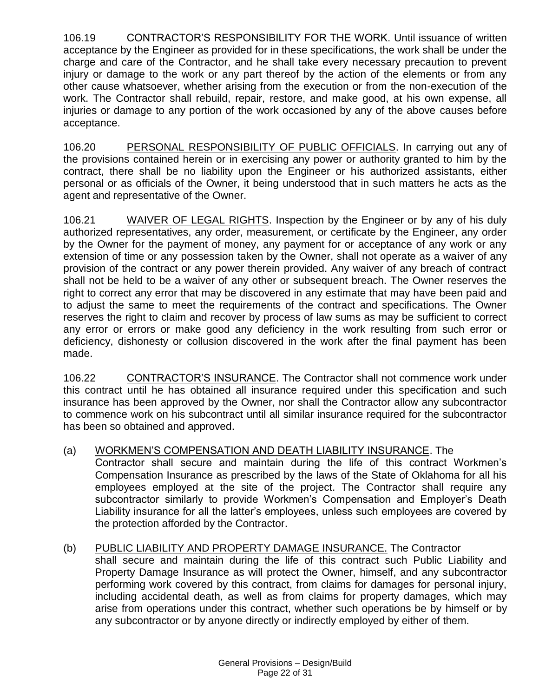106.19 CONTRACTOR'S RESPONSIBILITY FOR THE WORK. Until issuance of written acceptance by the Engineer as provided for in these specifications, the work shall be under the charge and care of the Contractor, and he shall take every necessary precaution to prevent injury or damage to the work or any part thereof by the action of the elements or from any other cause whatsoever, whether arising from the execution or from the non-execution of the work. The Contractor shall rebuild, repair, restore, and make good, at his own expense, all injuries or damage to any portion of the work occasioned by any of the above causes before acceptance.

106.20 PERSONAL RESPONSIBILITY OF PUBLIC OFFICIALS. In carrying out any of the provisions contained herein or in exercising any power or authority granted to him by the contract, there shall be no liability upon the Engineer or his authorized assistants, either personal or as officials of the Owner, it being understood that in such matters he acts as the agent and representative of the Owner.

106.21 WAIVER OF LEGAL RIGHTS. Inspection by the Engineer or by any of his duly authorized representatives, any order, measurement, or certificate by the Engineer, any order by the Owner for the payment of money, any payment for or acceptance of any work or any extension of time or any possession taken by the Owner, shall not operate as a waiver of any provision of the contract or any power therein provided. Any waiver of any breach of contract shall not be held to be a waiver of any other or subsequent breach. The Owner reserves the right to correct any error that may be discovered in any estimate that may have been paid and to adjust the same to meet the requirements of the contract and specifications. The Owner reserves the right to claim and recover by process of law sums as may be sufficient to correct any error or errors or make good any deficiency in the work resulting from such error or deficiency, dishonesty or collusion discovered in the work after the final payment has been made.

106.22 CONTRACTOR'S INSURANCE. The Contractor shall not commence work under this contract until he has obtained all insurance required under this specification and such insurance has been approved by the Owner, nor shall the Contractor allow any subcontractor to commence work on his subcontract until all similar insurance required for the subcontractor has been so obtained and approved.

# (a) WORKMEN'S COMPENSATION AND DEATH LIABILITY INSURANCE. The

Contractor shall secure and maintain during the life of this contract Workmen's Compensation Insurance as prescribed by the laws of the State of Oklahoma for all his employees employed at the site of the project. The Contractor shall require any subcontractor similarly to provide Workmen's Compensation and Employer's Death Liability insurance for all the latter's employees, unless such employees are covered by the protection afforded by the Contractor.

## (b) PUBLIC LIABILITY AND PROPERTY DAMAGE INSURANCE. The Contractor shall secure and maintain during the life of this contract such Public Liability and Property Damage Insurance as will protect the Owner, himself, and any subcontractor performing work covered by this contract, from claims for damages for personal injury, including accidental death, as well as from claims for property damages, which may arise from operations under this contract, whether such operations be by himself or by any subcontractor or by anyone directly or indirectly employed by either of them.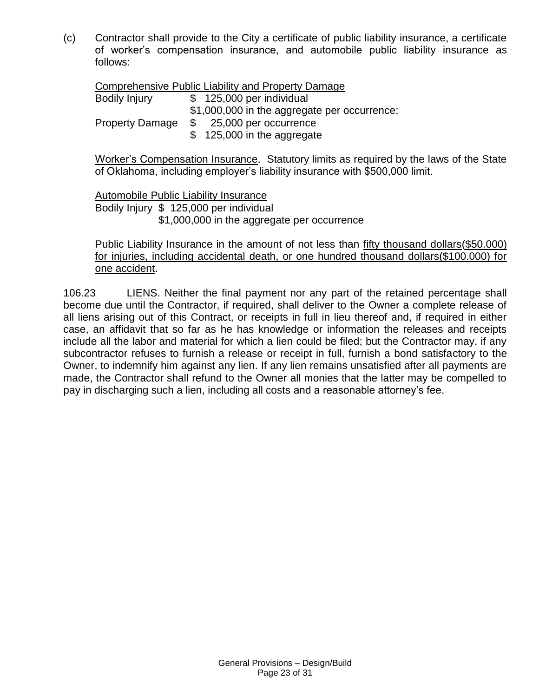(c) Contractor shall provide to the City a certificate of public liability insurance, a certificate of worker's compensation insurance, and automobile public liability insurance as follows:

Comprehensive Public Liability and Property Damage

Bodily Injury \$ 125,000 per individual \$1,000,000 in the aggregate per occurrence; Property Damage \$ 25,000 per occurrence \$ 125,000 in the aggregate

Worker's Compensation Insurance. Statutory limits as required by the laws of the State of Oklahoma, including employer's liability insurance with \$500,000 limit.

Automobile Public Liability Insurance

Bodily Injury \$ 125,000 per individual \$1,000,000 in the aggregate per occurrence

Public Liability Insurance in the amount of not less than fifty thousand dollars(\$50.000) for injuries, including accidental death, or one hundred thousand dollars(\$100.000) for one accident.

106.23 LIENS. Neither the final payment nor any part of the retained percentage shall become due until the Contractor, if required, shall deliver to the Owner a complete release of all liens arising out of this Contract, or receipts in full in lieu thereof and, if required in either case, an affidavit that so far as he has knowledge or information the releases and receipts include all the labor and material for which a lien could be filed; but the Contractor may, if any subcontractor refuses to furnish a release or receipt in full, furnish a bond satisfactory to the Owner, to indemnify him against any lien. If any lien remains unsatisfied after all payments are made, the Contractor shall refund to the Owner all monies that the latter may be compelled to pay in discharging such a lien, including all costs and a reasonable attorney's fee.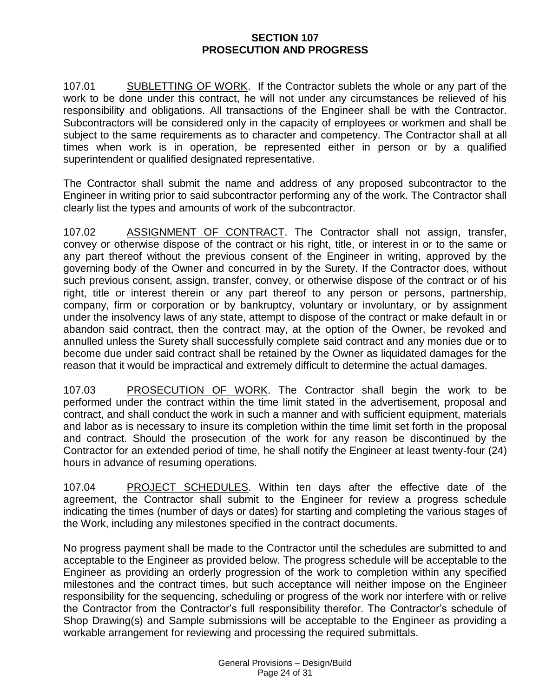## **SECTION 107 PROSECUTION AND PROGRESS**

107.01 SUBLETTING OF WORK. If the Contractor sublets the whole or any part of the work to be done under this contract, he will not under any circumstances be relieved of his responsibility and obligations. All transactions of the Engineer shall be with the Contractor. Subcontractors will be considered only in the capacity of employees or workmen and shall be subject to the same requirements as to character and competency. The Contractor shall at all times when work is in operation, be represented either in person or by a qualified superintendent or qualified designated representative.

The Contractor shall submit the name and address of any proposed subcontractor to the Engineer in writing prior to said subcontractor performing any of the work. The Contractor shall clearly list the types and amounts of work of the subcontractor.

107.02 ASSIGNMENT OF CONTRACT. The Contractor shall not assign, transfer, convey or otherwise dispose of the contract or his right, title, or interest in or to the same or any part thereof without the previous consent of the Engineer in writing, approved by the governing body of the Owner and concurred in by the Surety. If the Contractor does, without such previous consent, assign, transfer, convey, or otherwise dispose of the contract or of his right, title or interest therein or any part thereof to any person or persons, partnership, company, firm or corporation or by bankruptcy, voluntary or involuntary, or by assignment under the insolvency laws of any state, attempt to dispose of the contract or make default in or abandon said contract, then the contract may, at the option of the Owner, be revoked and annulled unless the Surety shall successfully complete said contract and any monies due or to become due under said contract shall be retained by the Owner as liquidated damages for the reason that it would be impractical and extremely difficult to determine the actual damages.

107.03 PROSECUTION OF WORK. The Contractor shall begin the work to be performed under the contract within the time limit stated in the advertisement, proposal and contract, and shall conduct the work in such a manner and with sufficient equipment, materials and labor as is necessary to insure its completion within the time limit set forth in the proposal and contract. Should the prosecution of the work for any reason be discontinued by the Contractor for an extended period of time, he shall notify the Engineer at least twenty-four (24) hours in advance of resuming operations.

107.04 PROJECT SCHEDULES. Within ten days after the effective date of the agreement, the Contractor shall submit to the Engineer for review a progress schedule indicating the times (number of days or dates) for starting and completing the various stages of the Work, including any milestones specified in the contract documents.

No progress payment shall be made to the Contractor until the schedules are submitted to and acceptable to the Engineer as provided below. The progress schedule will be acceptable to the Engineer as providing an orderly progression of the work to completion within any specified milestones and the contract times, but such acceptance will neither impose on the Engineer responsibility for the sequencing, scheduling or progress of the work nor interfere with or relive the Contractor from the Contractor's full responsibility therefor. The Contractor's schedule of Shop Drawing(s) and Sample submissions will be acceptable to the Engineer as providing a workable arrangement for reviewing and processing the required submittals.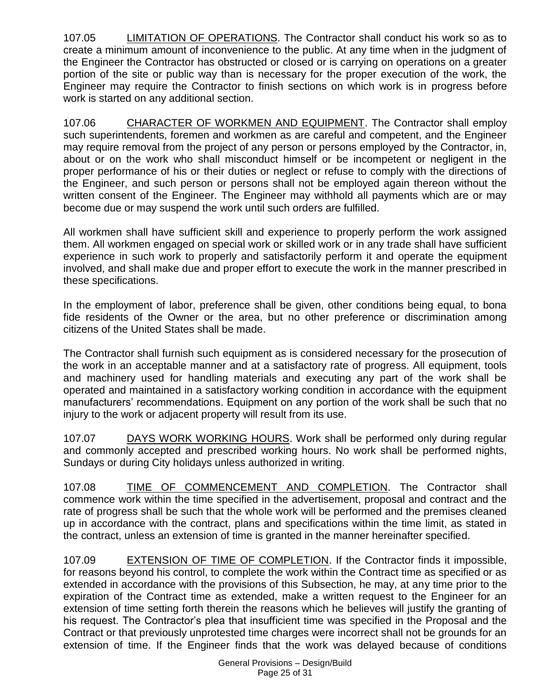107.05 LIMITATION OF OPERATIONS. The Contractor shall conduct his work so as to create a minimum amount of inconvenience to the public. At any time when in the judgment of the Engineer the Contractor has obstructed or closed or is carrying on operations on a greater portion of the site or public way than is necessary for the proper execution of the work, the Engineer may require the Contractor to finish sections on which work is in progress before work is started on any additional section.

107.06 CHARACTER OF WORKMEN AND EQUIPMENT. The Contractor shall employ such superintendents, foremen and workmen as are careful and competent, and the Engineer may require removal from the project of any person or persons employed by the Contractor, in, about or on the work who shall misconduct himself or be incompetent or negligent in the proper performance of his or their duties or neglect or refuse to comply with the directions of the Engineer, and such person or persons shall not be employed again thereon without the written consent of the Engineer. The Engineer may withhold all payments which are or may become due or may suspend the work until such orders are fulfilled.

All workmen shall have sufficient skill and experience to properly perform the work assigned them. All workmen engaged on special work or skilled work or in any trade shall have sufficient experience in such work to properly and satisfactorily perform it and operate the equipment involved, and shall make due and proper effort to execute the work in the manner prescribed in these specifications.

In the employment of labor, preference shall be given, other conditions being equal, to bona fide residents of the Owner or the area, but no other preference or discrimination among citizens of the United States shall be made.

The Contractor shall furnish such equipment as is considered necessary for the prosecution of the work in an acceptable manner and at a satisfactory rate of progress. All equipment, tools and machinery used for handling materials and executing any part of the work shall be operated and maintained in a satisfactory working condition in accordance with the equipment manufacturers' recommendations. Equipment on any portion of the work shall be such that no injury to the work or adjacent property will result from its use.

107.07 DAYS WORK WORKING HOURS. Work shall be performed only during regular and commonly accepted and prescribed working hours. No work shall be performed nights, Sundays or during City holidays unless authorized in writing.

107.08 TIME OF COMMENCEMENT AND COMPLETION. The Contractor shall commence work within the time specified in the advertisement, proposal and contract and the rate of progress shall be such that the whole work will be performed and the premises cleaned up in accordance with the contract, plans and specifications within the time limit, as stated in the contract, unless an extension of time is granted in the manner hereinafter specified.

107.09 EXTENSION OF TIME OF COMPLETION. If the Contractor finds it impossible, for reasons beyond his control, to complete the work within the Contract time as specified or as extended in accordance with the provisions of this Subsection, he may, at any time prior to the expiration of the Contract time as extended, make a written request to the Engineer for an extension of time setting forth therein the reasons which he believes will justify the granting of his request. The Contractor's plea that insufficient time was specified in the Proposal and the Contract or that previously unprotested time charges were incorrect shall not be grounds for an extension of time. If the Engineer finds that the work was delayed because of conditions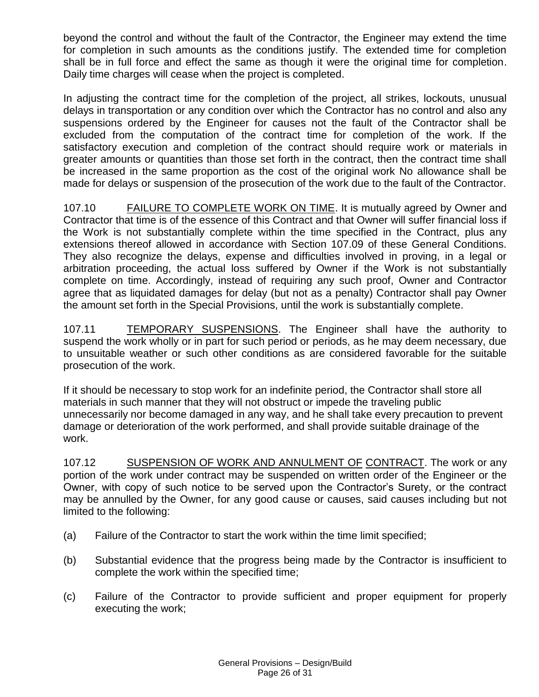beyond the control and without the fault of the Contractor, the Engineer may extend the time for completion in such amounts as the conditions justify. The extended time for completion shall be in full force and effect the same as though it were the original time for completion. Daily time charges will cease when the project is completed.

In adjusting the contract time for the completion of the project, all strikes, lockouts, unusual delays in transportation or any condition over which the Contractor has no control and also any suspensions ordered by the Engineer for causes not the fault of the Contractor shall be excluded from the computation of the contract time for completion of the work. If the satisfactory execution and completion of the contract should require work or materials in greater amounts or quantities than those set forth in the contract, then the contract time shall be increased in the same proportion as the cost of the original work No allowance shall be made for delays or suspension of the prosecution of the work due to the fault of the Contractor.

107.10 FAILURE TO COMPLETE WORK ON TIME. It is mutually agreed by Owner and Contractor that time is of the essence of this Contract and that Owner will suffer financial loss if the Work is not substantially complete within the time specified in the Contract, plus any extensions thereof allowed in accordance with Section 107.09 of these General Conditions. They also recognize the delays, expense and difficulties involved in proving, in a legal or arbitration proceeding, the actual loss suffered by Owner if the Work is not substantially complete on time. Accordingly, instead of requiring any such proof, Owner and Contractor agree that as liquidated damages for delay (but not as a penalty) Contractor shall pay Owner the amount set forth in the Special Provisions, until the work is substantially complete.

107.11 TEMPORARY SUSPENSIONS. The Engineer shall have the authority to suspend the work wholly or in part for such period or periods, as he may deem necessary, due to unsuitable weather or such other conditions as are considered favorable for the suitable prosecution of the work.

If it should be necessary to stop work for an indefinite period, the Contractor shall store all materials in such manner that they will not obstruct or impede the traveling public unnecessarily nor become damaged in any way, and he shall take every precaution to prevent damage or deterioration of the work performed, and shall provide suitable drainage of the work.

107.12 SUSPENSION OF WORK AND ANNULMENT OF CONTRACT. The work or any portion of the work under contract may be suspended on written order of the Engineer or the Owner, with copy of such notice to be served upon the Contractor's Surety, or the contract may be annulled by the Owner, for any good cause or causes, said causes including but not limited to the following:

- (a) Failure of the Contractor to start the work within the time limit specified;
- (b) Substantial evidence that the progress being made by the Contractor is insufficient to complete the work within the specified time;
- (c) Failure of the Contractor to provide sufficient and proper equipment for properly executing the work;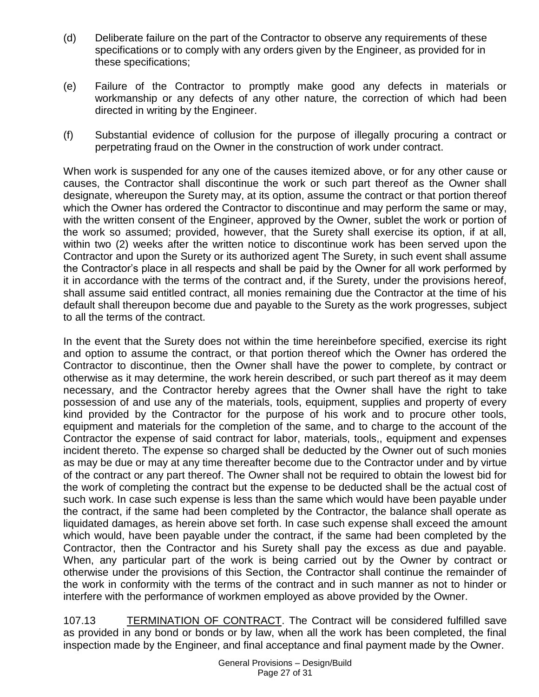- (d) Deliberate failure on the part of the Contractor to observe any requirements of these specifications or to comply with any orders given by the Engineer, as provided for in these specifications;
- (e) Failure of the Contractor to promptly make good any defects in materials or workmanship or any defects of any other nature, the correction of which had been directed in writing by the Engineer.
- (f) Substantial evidence of collusion for the purpose of illegally procuring a contract or perpetrating fraud on the Owner in the construction of work under contract.

When work is suspended for any one of the causes itemized above, or for any other cause or causes, the Contractor shall discontinue the work or such part thereof as the Owner shall designate, whereupon the Surety may, at its option, assume the contract or that portion thereof which the Owner has ordered the Contractor to discontinue and may perform the same or may, with the written consent of the Engineer, approved by the Owner, sublet the work or portion of the work so assumed; provided, however, that the Surety shall exercise its option, if at all, within two (2) weeks after the written notice to discontinue work has been served upon the Contractor and upon the Surety or its authorized agent The Surety, in such event shall assume the Contractor's place in all respects and shall be paid by the Owner for all work performed by it in accordance with the terms of the contract and, if the Surety, under the provisions hereof, shall assume said entitled contract, all monies remaining due the Contractor at the time of his default shall thereupon become due and payable to the Surety as the work progresses, subject to all the terms of the contract.

In the event that the Surety does not within the time hereinbefore specified, exercise its right and option to assume the contract, or that portion thereof which the Owner has ordered the Contractor to discontinue, then the Owner shall have the power to complete, by contract or otherwise as it may determine, the work herein described, or such part thereof as it may deem necessary, and the Contractor hereby agrees that the Owner shall have the right to take possession of and use any of the materials, tools, equipment, supplies and property of every kind provided by the Contractor for the purpose of his work and to procure other tools, equipment and materials for the completion of the same, and to charge to the account of the Contractor the expense of said contract for labor, materials, tools,, equipment and expenses incident thereto. The expense so charged shall be deducted by the Owner out of such monies as may be due or may at any time thereafter become due to the Contractor under and by virtue of the contract or any part thereof. The Owner shall not be required to obtain the lowest bid for the work of completing the contract but the expense to be deducted shall be the actual cost of such work. In case such expense is less than the same which would have been payable under the contract, if the same had been completed by the Contractor, the balance shall operate as liquidated damages, as herein above set forth. In case such expense shall exceed the amount which would, have been payable under the contract, if the same had been completed by the Contractor, then the Contractor and his Surety shall pay the excess as due and payable. When, any particular part of the work is being carried out by the Owner by contract or otherwise under the provisions of this Section, the Contractor shall continue the remainder of the work in conformity with the terms of the contract and in such manner as not to hinder or interfere with the performance of workmen employed as above provided by the Owner.

107.13 TERMINATION OF CONTRACT. The Contract will be considered fulfilled save as provided in any bond or bonds or by law, when all the work has been completed, the final inspection made by the Engineer, and final acceptance and final payment made by the Owner.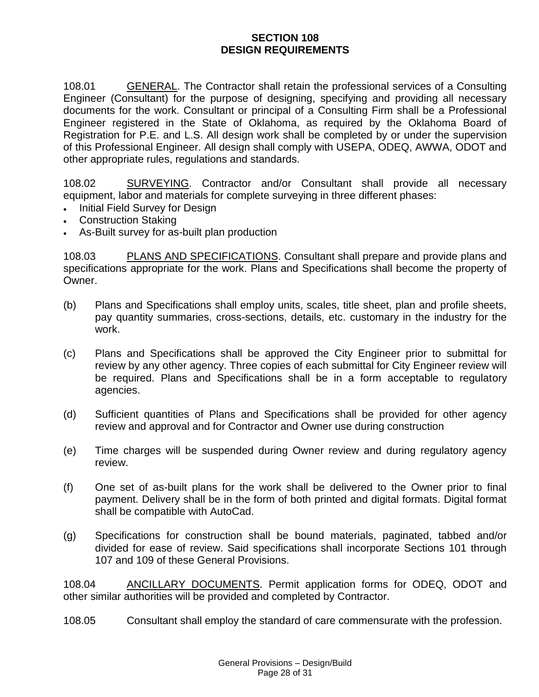## **SECTION 108 DESIGN REQUIREMENTS**

108.01 GENERAL. The Contractor shall retain the professional services of a Consulting Engineer (Consultant) for the purpose of designing, specifying and providing all necessary documents for the work. Consultant or principal of a Consulting Firm shall be a Professional Engineer registered in the State of Oklahoma, as required by the Oklahoma Board of Registration for P.E. and L.S. All design work shall be completed by or under the supervision of this Professional Engineer. All design shall comply with USEPA, ODEQ, AWWA, ODOT and other appropriate rules, regulations and standards.

108.02 SURVEYING. Contractor and/or Consultant shall provide all necessary equipment, labor and materials for complete surveying in three different phases:

- Initial Field Survey for Design
- Construction Staking
- As-Built survey for as-built plan production

108.03 PLANS AND SPECIFICATIONS. Consultant shall prepare and provide plans and specifications appropriate for the work. Plans and Specifications shall become the property of Owner.

- (b) Plans and Specifications shall employ units, scales, title sheet, plan and profile sheets, pay quantity summaries, cross-sections, details, etc. customary in the industry for the work.
- (c) Plans and Specifications shall be approved the City Engineer prior to submittal for review by any other agency. Three copies of each submittal for City Engineer review will be required. Plans and Specifications shall be in a form acceptable to regulatory agencies.
- (d) Sufficient quantities of Plans and Specifications shall be provided for other agency review and approval and for Contractor and Owner use during construction
- (e) Time charges will be suspended during Owner review and during regulatory agency review.
- (f) One set of as-built plans for the work shall be delivered to the Owner prior to final payment. Delivery shall be in the form of both printed and digital formats. Digital format shall be compatible with AutoCad.
- (g) Specifications for construction shall be bound materials, paginated, tabbed and/or divided for ease of review. Said specifications shall incorporate Sections 101 through 107 and 109 of these General Provisions.

108.04 ANCILLARY DOCUMENTS. Permit application forms for ODEQ, ODOT and other similar authorities will be provided and completed by Contractor.

108.05 Consultant shall employ the standard of care commensurate with the profession.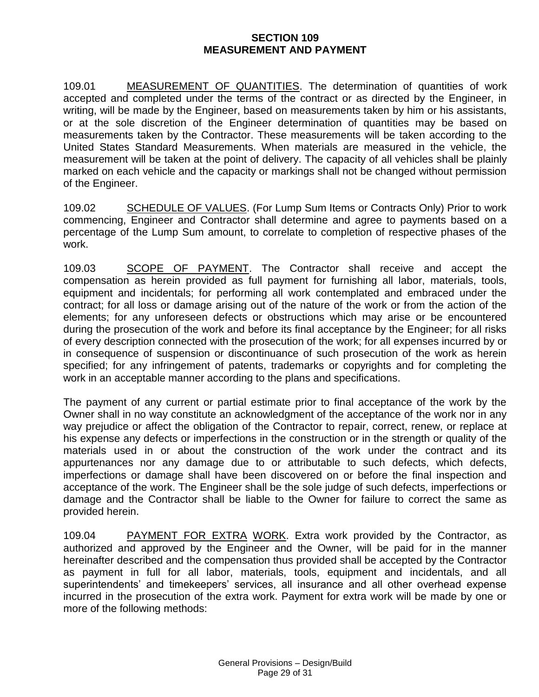## **SECTION 109 MEASUREMENT AND PAYMENT**

109.01 MEASUREMENT OF QUANTITIES. The determination of quantities of work accepted and completed under the terms of the contract or as directed by the Engineer, in writing, will be made by the Engineer, based on measurements taken by him or his assistants, or at the sole discretion of the Engineer determination of quantities may be based on measurements taken by the Contractor. These measurements will be taken according to the United States Standard Measurements. When materials are measured in the vehicle, the measurement will be taken at the point of delivery. The capacity of all vehicles shall be plainly marked on each vehicle and the capacity or markings shall not be changed without permission of the Engineer.

109.02 SCHEDULE OF VALUES. (For Lump Sum Items or Contracts Only) Prior to work commencing, Engineer and Contractor shall determine and agree to payments based on a percentage of the Lump Sum amount, to correlate to completion of respective phases of the work.

109.03 SCOPE OF PAYMENT. The Contractor shall receive and accept the compensation as herein provided as full payment for furnishing all labor, materials, tools, equipment and incidentals; for performing all work contemplated and embraced under the contract; for all loss or damage arising out of the nature of the work or from the action of the elements; for any unforeseen defects or obstructions which may arise or be encountered during the prosecution of the work and before its final acceptance by the Engineer; for all risks of every description connected with the prosecution of the work; for all expenses incurred by or in consequence of suspension or discontinuance of such prosecution of the work as herein specified; for any infringement of patents, trademarks or copyrights and for completing the work in an acceptable manner according to the plans and specifications.

The payment of any current or partial estimate prior to final acceptance of the work by the Owner shall in no way constitute an acknowledgment of the acceptance of the work nor in any way prejudice or affect the obligation of the Contractor to repair, correct, renew, or replace at his expense any defects or imperfections in the construction or in the strength or quality of the materials used in or about the construction of the work under the contract and its appurtenances nor any damage due to or attributable to such defects, which defects, imperfections or damage shall have been discovered on or before the final inspection and acceptance of the work. The Engineer shall be the sole judge of such defects, imperfections or damage and the Contractor shall be liable to the Owner for failure to correct the same as provided herein.

109.04 PAYMENT FOR EXTRA WORK. Extra work provided by the Contractor, as authorized and approved by the Engineer and the Owner, will be paid for in the manner hereinafter described and the compensation thus provided shall be accepted by the Contractor as payment in full for all labor, materials, tools, equipment and incidentals, and all superintendents' and timekeepers' services, all insurance and all other overhead expense incurred in the prosecution of the extra work. Payment for extra work will be made by one or more of the following methods: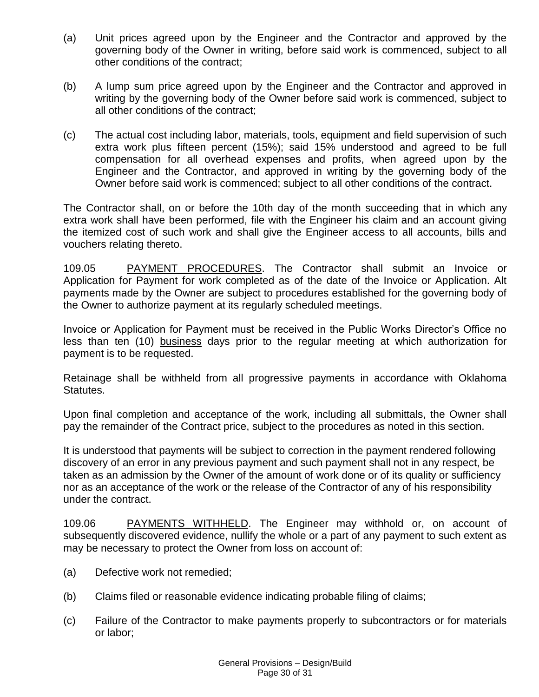- (a) Unit prices agreed upon by the Engineer and the Contractor and approved by the governing body of the Owner in writing, before said work is commenced, subject to all other conditions of the contract;
- (b) A lump sum price agreed upon by the Engineer and the Contractor and approved in writing by the governing body of the Owner before said work is commenced, subject to all other conditions of the contract;
- (c) The actual cost including labor, materials, tools, equipment and field supervision of such extra work plus fifteen percent (15%); said 15% understood and agreed to be full compensation for all overhead expenses and profits, when agreed upon by the Engineer and the Contractor, and approved in writing by the governing body of the Owner before said work is commenced; subject to all other conditions of the contract.

The Contractor shall, on or before the 10th day of the month succeeding that in which any extra work shall have been performed, file with the Engineer his claim and an account giving the itemized cost of such work and shall give the Engineer access to all accounts, bills and vouchers relating thereto.

109.05 PAYMENT PROCEDURES. The Contractor shall submit an Invoice or Application for Payment for work completed as of the date of the Invoice or Application. Alt payments made by the Owner are subject to procedures established for the governing body of the Owner to authorize payment at its regularly scheduled meetings.

Invoice or Application for Payment must be received in the Public Works Director's Office no less than ten (10) business days prior to the regular meeting at which authorization for payment is to be requested.

Retainage shall be withheld from all progressive payments in accordance with Oklahoma Statutes.

Upon final completion and acceptance of the work, including all submittals, the Owner shall pay the remainder of the Contract price, subject to the procedures as noted in this section.

It is understood that payments will be subject to correction in the payment rendered following discovery of an error in any previous payment and such payment shall not in any respect, be taken as an admission by the Owner of the amount of work done or of its quality or sufficiency nor as an acceptance of the work or the release of the Contractor of any of his responsibility under the contract.

109.06 PAYMENTS WITHHELD. The Engineer may withhold or, on account of subsequently discovered evidence, nullify the whole or a part of any payment to such extent as may be necessary to protect the Owner from loss on account of:

- (a) Defective work not remedied;
- (b) Claims filed or reasonable evidence indicating probable filing of claims;
- (c) Failure of the Contractor to make payments properly to subcontractors or for materials or labor;